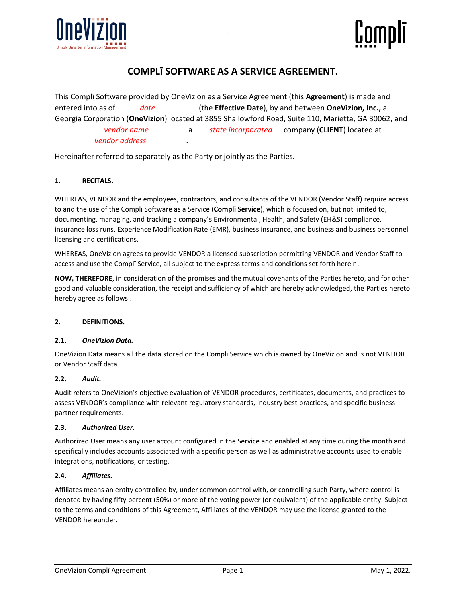



# **COMPLī SOFTWARE AS A SERVICE AGREEMENT.**

.

This Complī Software provided by OneVizion as a Service Agreement (this **Agreement**) is made and entered into as of *date* (the **Effective Date**), by and between **OneVizion, Inc.,** a Georgia Corporation (**OneVizion**) located at 3855 Shallowford Road, Suite 110, Marietta, GA 30062, and *vendor name* a *state incorporated* company (**CLIENT**) located at *vendor address* .

Hereinafter referred to separately as the Party or jointly as the Parties.

#### **1. RECITALS.**

WHEREAS, VENDOR and the employees, contractors, and consultants of the VENDOR (Vendor Staff) require access to and the use of the Complī Software as a Service (**Complī Service**), which is focused on, but not limited to, documenting, managing, and tracking a company's Environmental, Health, and Safety (EH&S) compliance, insurance loss runs, Experience Modification Rate (EMR), business insurance, and business and business personnel licensing and certifications.

WHEREAS, OneVizion agrees to provide VENDOR a licensed subscription permitting VENDOR and Vendor Staff to access and use the Complī Service, all subject to the express terms and conditions set forth herein.

**NOW, THEREFORE**, in consideration of the promises and the mutual covenants of the Parties hereto, and for other good and valuable consideration, the receipt and sufficiency of which are hereby acknowledged, the Parties hereto hereby agree as follows:.

#### **2. DEFINITIONS.**

#### **2.1.** *OneVizion Data.*

OneVizion Data means all the data stored on the Complī Service which is owned by OneVizion and is not VENDOR or Vendor Staff data.

#### **2.2.** *Audit.*

Audit refers to OneVizion's objective evaluation of VENDOR procedures, certificates, documents, and practices to assess VENDOR's compliance with relevant regulatory standards, industry best practices, and specific business partner requirements.

#### **2.3.** *Authorized User.*

Authorized User means any user account configured in the Service and enabled at any time during the month and specifically includes accounts associated with a specific person as well as administrative accounts used to enable integrations, notifications, or testing.

#### **2.4.** *Affiliates.*

Affiliates means an entity controlled by, under common control with, or controlling such Party, where control is denoted by having fifty percent (50%) or more of the voting power (or equivalent) of the applicable entity. Subject to the terms and conditions of this Agreement, Affiliates of the VENDOR may use the license granted to the VENDOR hereunder.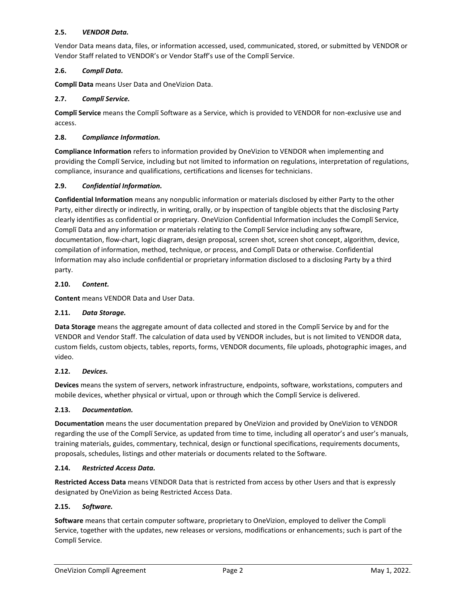#### **2.5.** *VENDOR Data.*

Vendor Data means data, files, or information accessed, used, communicated, stored, or submitted by VENDOR or Vendor Staff related to VENDOR's or Vendor Staff's use of the Complī Service.

#### **2.6.** *Complī Data.*

**Complī Data** means User Data and OneVizion Data.

#### **2.7.** *Complī Service.*

**Complī Service** means the Complī Software as a Service, which is provided to VENDOR for non-exclusive use and access.

#### **2.8.** *Compliance Information.*

**Compliance Information** refers to information provided by OneVizion to VENDOR when implementing and providing the Complī Service, including but not limited to information on regulations, interpretation of regulations, compliance, insurance and qualifications, certifications and licenses for technicians.

#### **2.9.** *Confidential Information.*

**Confidential Information** means any nonpublic information or materials disclosed by either Party to the other Party, either directly or indirectly, in writing, orally, or by inspection of tangible objects that the disclosing Party clearly identifies as confidential or proprietary. OneVizion Confidential Information includes the Complī Service, Complī Data and any information or materials relating to the Complī Service including any software, documentation, flow-chart, logic diagram, design proposal, screen shot, screen shot concept, algorithm, device, compilation of information, method, technique, or process, and Complī Data or otherwise. Confidential Information may also include confidential or proprietary information disclosed to a disclosing Party by a third party.

#### **2.10.** *Content.*

**Content** means VENDOR Data and User Data.

#### **2.11.** *Data Storage.*

**Data Storage** means the aggregate amount of data collected and stored in the Complī Service by and for the VENDOR and Vendor Staff. The calculation of data used by VENDOR includes, but is not limited to VENDOR data, custom fields, custom objects, tables, reports, forms, VENDOR documents, file uploads, photographic images, and video.

#### **2.12.** *Devices.*

**Devices** means the system of servers, network infrastructure, endpoints, software, workstations, computers and mobile devices, whether physical or virtual, upon or through which the Complī Service is delivered.

#### **2.13.** *Documentation.*

**Documentation** means the user documentation prepared by OneVizion and provided by OneVizion to VENDOR regarding the use of the Complī Service, as updated from time to time, including all operator's and user's manuals, training materials, guides, commentary, technical, design or functional specifications, requirements documents, proposals, schedules, listings and other materials or documents related to the Software.

#### **2.14.** *Restricted Access Data.*

**Restricted Access Data** means VENDOR Data that is restricted from access by other Users and that is expressly designated by OneVizion as being Restricted Access Data.

#### **2.15.** *Software.*

**Software** means that certain computer software, proprietary to OneVizion, employed to deliver the Compli Service, together with the updates, new releases or versions, modifications or enhancements; such is part of the Complī Service.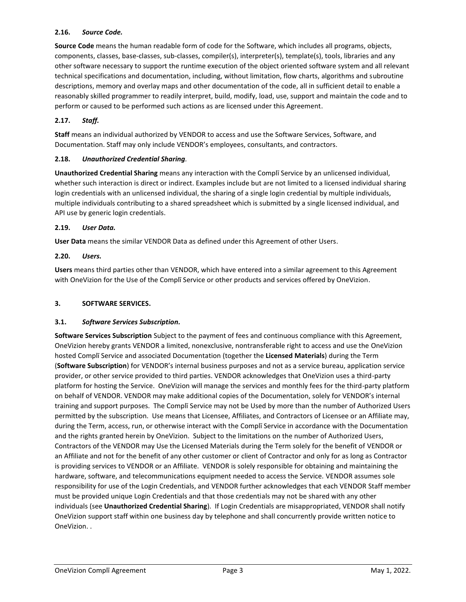#### **2.16.** *Source Code.*

**Source Code** means the human readable form of code for the Software, which includes all programs, objects, components, classes, base-classes, sub-classes, compiler(s), interpreter(s), template(s), tools, libraries and any other software necessary to support the runtime execution of the object oriented software system and all relevant technical specifications and documentation, including, without limitation, flow charts, algorithms and subroutine descriptions, memory and overlay maps and other documentation of the code, all in sufficient detail to enable a reasonably skilled programmer to readily interpret, build, modify, load, use, support and maintain the code and to perform or caused to be performed such actions as are licensed under this Agreement.

# **2.17.** *Staff.*

**Staff** means an individual authorized by VENDOR to access and use the Software Services, Software, and Documentation. Staff may only include VENDOR's employees, consultants, and contractors.

#### **2.18.** *Unauthorized Credential Sharing.*

**Unauthorized Credential Sharing** means any interaction with the Complī Service by an unlicensed individual, whether such interaction is direct or indirect. Examples include but are not limited to a licensed individual sharing login credentials with an unlicensed individual, the sharing of a single login credential by multiple individuals, multiple individuals contributing to a shared spreadsheet which is submitted by a single licensed individual, and API use by generic login credentials.

#### **2.19.** *User Data.*

**User Data** means the similar VENDOR Data as defined under this Agreement of other Users.

#### **2.20.** *Users.*

**Users** means third parties other than VENDOR, which have entered into a similar agreement to this Agreement with OneVizion for the Use of the Complī Service or other products and services offered by OneVizion.

#### **3. SOFTWARE SERVICES.**

# **3.1.** *Software Services Subscription.*

**Software Services Subscription** Subject to the payment of fees and continuous compliance with this Agreement, OneVizion hereby grants VENDOR a limited, nonexclusive, nontransferable right to access and use the OneVizion hosted Complī Service and associated Documentation (together the **Licensed Materials**) during the Term (**Software Subscription**) for VENDOR's internal business purposes and not as a service bureau, application service provider, or other service provided to third parties. VENDOR acknowledges that OneVizion uses a third-party platform for hosting the Service. OneVizion will manage the services and monthly fees for the third-party platform on behalf of VENDOR. VENDOR may make additional copies of the Documentation, solely for VENDOR's internal training and support purposes. The Complī Service may not be Used by more than the number of Authorized Users permitted by the subscription. Use means that Licensee, Affiliates, and Contractors of Licensee or an Affiliate may, during the Term, access, run, or otherwise interact with the Complī Service in accordance with the Documentation and the rights granted herein by OneVizion. Subject to the limitations on the number of Authorized Users, Contractors of the VENDOR may Use the Licensed Materials during the Term solely for the benefit of VENDOR or an Affiliate and not for the benefit of any other customer or client of Contractor and only for as long as Contractor is providing services to VENDOR or an Affiliate. VENDOR is solely responsible for obtaining and maintaining the hardware, software, and telecommunications equipment needed to access the Service. VENDOR assumes sole responsibility for use of the Login Credentials, and VENDOR further acknowledges that each VENDOR Staff member must be provided unique Login Credentials and that those credentials may not be shared with any other individuals (see **Unauthorized Credential Sharing**). If Login Credentials are misappropriated, VENDOR shall notify OneVizion support staff within one business day by telephone and shall concurrently provide written notice to OneVizion. .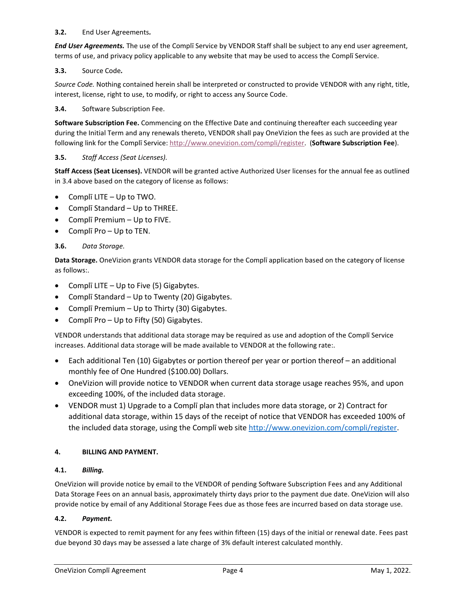#### **3.2.** End User Agreements*.*

*End User Agreements.* The use of the Complī Service by VENDOR Staff shall be subject to any end user agreement, terms of use, and privacy policy applicable to any website that may be used to access the Complī Service.

# **3.3.** Source Code*.*

*Source Code.* Nothing contained herein shall be interpreted or constructed to provide VENDOR with any right, title, interest, license, right to use, to modify, or right to access any Source Code.

#### **3.4.** Software Subscription Fee.

**Software Subscription Fee.** Commencing on the Effective Date and continuing thereafter each succeeding year during the Initial Term and any renewals thereto, VENDOR shall pay OneVizion the fees as such are provided at the following link for the Complī Service: [http://www.onevizion.com/compli/register.](http://www.onevizion.com/compli/register) (**Software Subscription Fee**).

#### **3.5.** *Staff Access (Seat Licenses).*

**Staff Access (Seat Licenses).** VENDOR will be granted active Authorized User licenses for the annual fee as outlined in 3.4 above based on the category of license as follows:

- Complī LITE Up to TWO.
- Complī Standard Up to THREE.
- Complī Premium Up to FIVE.
- Complī Pro Up to TEN.

#### **3.6.** *Data Storage.*

**Data Storage.** OneVizion grants VENDOR data storage for the Complī application based on the category of license as follows:.

- Complī LITE Up to Five (5) Gigabytes.
- Complī Standard Up to Twenty (20) Gigabytes.
- Complī Premium Up to Thirty (30) Gigabytes.
- Complī Pro Up to Fifty (50) Gigabytes.

VENDOR understands that additional data storage may be required as use and adoption of the Complī Service increases. Additional data storage will be made available to VENDOR at the following rate:.

- Each additional Ten (10) Gigabytes or portion thereof per year or portion thereof an additional monthly fee of One Hundred (\$100.00) Dollars.
- OneVizion will provide notice to VENDOR when current data storage usage reaches 95%, and upon exceeding 100%, of the included data storage.
- VENDOR must 1) Upgrade to a Complī plan that includes more data storage, or 2) Contract for additional data storage, within 15 days of the receipt of notice that VENDOR has exceeded 100% of the included data storage, using the Complī web site [http://www.onevizion.com/compli/register.](http://www.onevizion.com/compli/register)

#### **4. BILLING AND PAYMENT.**

#### **4.1.** *Billing.*

OneVizion will provide notice by email to the VENDOR of pending Software Subscription Fees and any Additional Data Storage Fees on an annual basis, approximately thirty days prior to the payment due date. OneVizion will also provide notice by email of any Additional Storage Fees due as those fees are incurred based on data storage use.

#### **4.2.** *Payment.*

VENDOR is expected to remit payment for any fees within fifteen (15) days of the initial or renewal date. Fees past due beyond 30 days may be assessed a late charge of 3% default interest calculated monthly.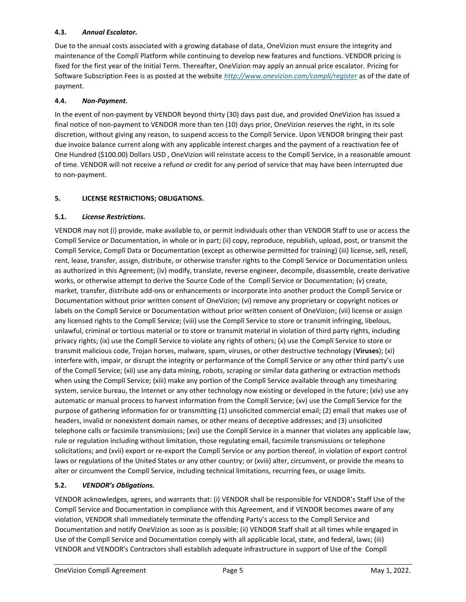# **4.3.** *Annual Escalator.*

Due to the annual costs associated with a growing database of data, OneVizion must ensure the integrity and maintenance of the Complī Platform while continuing to develop new features and functions. VENDOR pricing is fixed for the first year of the Initial Term. Thereafter, OneVizion may apply an annual price escalator. Pricing for Software Subscription Fees is as posted at the website *<http://www.onevizion.com/compli/register>* as of the date of payment.

### **4.4.** *Non-Payment.*

In the event of non-payment by VENDOR beyond thirty (30) days past due, and provided OneVizion has issued a final notice of non-payment to VENDOR more than ten (10) days prior, OneVizion reserves the right, in its sole discretion, without giving any reason, to suspend access to the Complī Service. Upon VENDOR bringing their past due invoice balance current along with any applicable interest charges and the payment of a reactivation fee of One Hundred (\$100.00) Dollars USD , OneVizion will reinstate access to the Complī Service, in a reasonable amount of time. VENDOR will not receive a refund or credit for any period of service that may have been interrupted due to non-payment.

# **5. LICENSE RESTRICTIONS; OBLIGATIONS.**

#### **5.1.** *License Restrictions.*

VENDOR may not (i) provide, make available to, or permit individuals other than VENDOR Staff to use or access the Complī Service or Documentation, in whole or in part; (ii) copy, reproduce, republish, upload, post, or transmit the Complī Service, Complī Data or Documentation (except as otherwise permitted for training) (iii) license, sell, resell, rent, lease, transfer, assign, distribute, or otherwise transfer rights to the Complī Service or Documentation unless as authorized in this Agreement; (iv) modify, translate, reverse engineer, decompile, disassemble, create derivative works, or otherwise attempt to derive the Source Code of the Complī Service or Documentation; (v) create, market, transfer, distribute add-ons or enhancements or incorporate into another product the Complī Service or Documentation without prior written consent of OneVizion; (vi) remove any proprietary or copyright notices or labels on the Complī Service or Documentation without prior written consent of OneVizion; (vii) license or assign any licensed rights to the Complī Service; (viii) use the Complī Service to store or transmit infringing, libelous, unlawful, criminal or tortious material or to store or transmit material in violation of third party rights, including privacy rights; (ix) use the Complī Service to violate any rights of others; (x) use the Complī Service to store or transmit malicious code, Trojan horses, malware, spam, viruses, or other destructive technology (**Viruses**); (xi) interfere with, impair, or disrupt the integrity or performance of the Complī Service or any other third party's use of the Complī Service; (xii) use any data mining, robots, scraping or similar data gathering or extraction methods when using the Complī Service; (xiii) make any portion of the Complī Service available through any timesharing system, service bureau, the Internet or any other technology now existing or developed in the future; (xiv) use any automatic or manual process to harvest information from the Complī Service; (xv) use the Complī Service for the purpose of gathering information for or transmitting (1) unsolicited commercial email; (2) email that makes use of headers, invalid or nonexistent domain names, or other means of deceptive addresses; and (3) unsolicited telephone calls or facsimile transmissions; (xvi) use the Complī Service in a manner that violates any applicable law, rule or regulation including without limitation, those regulating email, facsimile transmissions or telephone solicitations; and (xvii) export or re-export the Complī Service or any portion thereof, in violation of export control laws or regulations of the United States or any other country; or (xviii) alter, circumvent, or provide the means to alter or circumvent the Complī Service, including technical limitations, recurring fees, or usage limits.

# **5.2.** *VENDOR's Obligations.*

VENDOR acknowledges, agrees, and warrants that: (i) VENDOR shall be responsible for VENDOR's Staff Use of the Complī Service and Documentation in compliance with this Agreement, and if VENDOR becomes aware of any violation, VENDOR shall immediately terminate the offending Party's access to the Complī Service and Documentation and notify OneVizion as soon as is possible; (ii) VENDOR Staff shall at all times while engaged in Use of the Complī Service and Documentation comply with all applicable local, state, and federal, laws; (iii) VENDOR and VENDOR's Contractors shall establish adequate infrastructure in support of Use of the Complī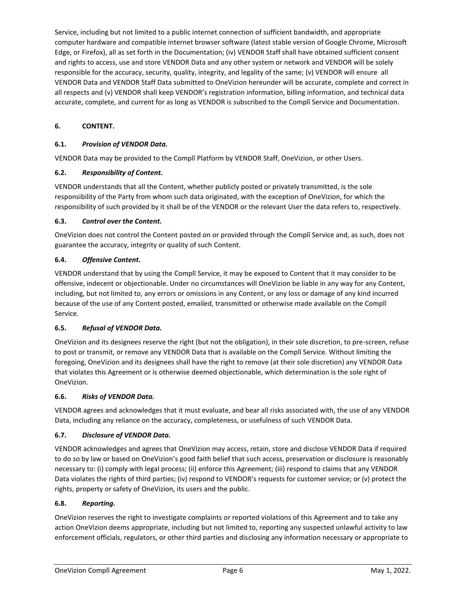Service, including but not limited to a public internet connection of sufficient bandwidth, and appropriate computer hardware and compatible internet browser software (latest stable version of Google Chrome, Microsoft Edge, or Firefox), all as set forth in the Documentation; (iv) VENDOR Staff shall have obtained sufficient consent and rights to access, use and store VENDOR Data and any other system or network and VENDOR will be solely responsible for the accuracy, security, quality, integrity, and legality of the same; (v) VENDOR will ensure all VENDOR Data and VENDOR Staff Data submitted to OneVizion hereunder will be accurate, complete and correct in all respects and (v) VENDOR shall keep VENDOR's registration information, billing information, and technical data accurate, complete, and current for as long as VENDOR is subscribed to the Complī Service and Documentation.

# **6. CONTENT.**

# **6.1.** *Provision of VENDOR Data.*

VENDOR Data may be provided to the Complī Platform by VENDOR Staff, OneVizion, or other Users.

# **6.2.** *Responsibility of Content.*

VENDOR understands that all the Content, whether publicly posted or privately transmitted, is the sole responsibility of the Party from whom such data originated, with the exception of OneVizion, for which the responsibility of such provided by it shall be of the VENDOR or the relevant User the data refers to, respectively.

# **6.3.** *Control over the Content.*

OneVizion does not control the Content posted on or provided through the Complī Service and, as such, does not guarantee the accuracy, integrity or quality of such Content.

# **6.4.** *Offensive Content.*

VENDOR understand that by using the Complī Service, it may be exposed to Content that it may consider to be offensive, indecent or objectionable. Under no circumstances will OneVizion be liable in any way for any Content, including, but not limited to, any errors or omissions in any Content, or any loss or damage of any kind incurred because of the use of any Content posted, emailed, transmitted or otherwise made available on the Complī Service.

# **6.5.** *Refusal of VENDOR Data.*

OneVizion and its designees reserve the right (but not the obligation), in their sole discretion, to pre-screen, refuse to post or transmit, or remove any VENDOR Data that is available on the Complī Service. Without limiting the foregoing, OneVizion and its designees shall have the right to remove (at their sole discretion) any VENDOR Data that violates this Agreement or is otherwise deemed objectionable, which determination is the sole right of OneVizion.

# **6.6.** *Risks of VENDOR Data.*

VENDOR agrees and acknowledges that it must evaluate, and bear all risks associated with, the use of any VENDOR Data, including any reliance on the accuracy, completeness, or usefulness of such VENDOR Data.

# **6.7.** *Disclosure of VENDOR Data.*

VENDOR acknowledges and agrees that OneVizion may access, retain, store and disclose VENDOR Data if required to do so by law or based on OneVizion's good faith belief that such access, preservation or disclosure is reasonably necessary to: (i) comply with legal process; (ii) enforce this Agreement; (iii) respond to claims that any VENDOR Data violates the rights of third parties; (iv) respond to VENDOR's requests for customer service; or (v) protect the rights, property or safety of OneVizion, its users and the public.

# **6.8.** *Reporting.*

OneVizion reserves the right to investigate complaints or reported violations of this Agreement and to take any action OneVizion deems appropriate, including but not limited to, reporting any suspected unlawful activity to law enforcement officials, regulators, or other third parties and disclosing any information necessary or appropriate to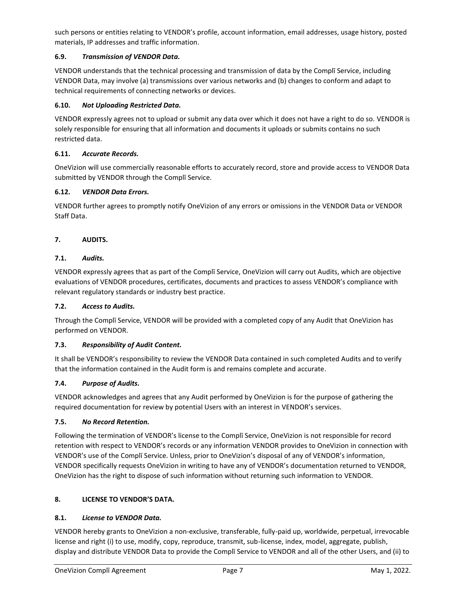such persons or entities relating to VENDOR's profile, account information, email addresses, usage history, posted materials, IP addresses and traffic information.

# **6.9.** *Transmission of VENDOR Data.*

VENDOR understands that the technical processing and transmission of data by the Complī Service, including VENDOR Data, may involve (a) transmissions over various networks and (b) changes to conform and adapt to technical requirements of connecting networks or devices.

#### **6.10.** *Not Uploading Restricted Data.*

VENDOR expressly agrees not to upload or submit any data over which it does not have a right to do so. VENDOR is solely responsible for ensuring that all information and documents it uploads or submits contains no such restricted data.

#### **6.11.** *Accurate Records.*

OneVizion will use commercially reasonable efforts to accurately record, store and provide access to VENDOR Data submitted by VENDOR through the Complī Service.

#### **6.12.** *VENDOR Data Errors.*

VENDOR further agrees to promptly notify OneVizion of any errors or omissions in the VENDOR Data or VENDOR Staff Data.

#### **7. AUDITS.**

#### **7.1.** *Audits.*

VENDOR expressly agrees that as part of the Complī Service, OneVizion will carry out Audits, which are objective evaluations of VENDOR procedures, certificates, documents and practices to assess VENDOR's compliance with relevant regulatory standards or industry best practice.

#### **7.2.** *Access to Audits.*

Through the Complī Service, VENDOR will be provided with a completed copy of any Audit that OneVizion has performed on VENDOR.

#### **7.3.** *Responsibility of Audit Content.*

It shall be VENDOR's responsibility to review the VENDOR Data contained in such completed Audits and to verify that the information contained in the Audit form is and remains complete and accurate.

#### **7.4.** *Purpose of Audits.*

VENDOR acknowledges and agrees that any Audit performed by OneVizion is for the purpose of gathering the required documentation for review by potential Users with an interest in VENDOR's services.

#### **7.5.** *No Record Retention.*

Following the termination of VENDOR's license to the Complī Service, OneVizion is not responsible for record retention with respect to VENDOR's records or any information VENDOR provides to OneVizion in connection with VENDOR's use of the Complī Service. Unless, prior to OneVizion's disposal of any of VENDOR's information, VENDOR specifically requests OneVizion in writing to have any of VENDOR's documentation returned to VENDOR, OneVizion has the right to dispose of such information without returning such information to VENDOR.

#### **8. LICENSE TO VENDOR'S DATA.**

#### **8.1.** *License to VENDOR Data.*

VENDOR hereby grants to OneVizion a non-exclusive, transferable, fully-paid up, worldwide, perpetual, irrevocable license and right (i) to use, modify, copy, reproduce, transmit, sub-license, index, model, aggregate, publish, display and distribute VENDOR Data to provide the Complī Service to VENDOR and all of the other Users, and (ii) to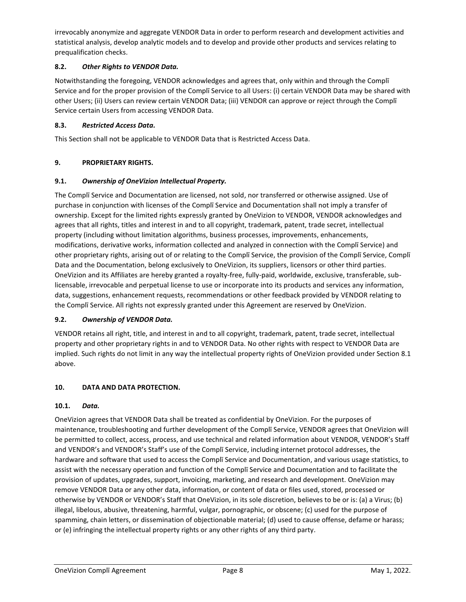irrevocably anonymize and aggregate VENDOR Data in order to perform research and development activities and statistical analysis, develop analytic models and to develop and provide other products and services relating to prequalification checks.

# **8.2.** *Other Rights to VENDOR Data.*

Notwithstanding the foregoing, VENDOR acknowledges and agrees that, only within and through the Complī Service and for the proper provision of the Complī Service to all Users: (i) certain VENDOR Data may be shared with other Users; (ii) Users can review certain VENDOR Data; (iii) VENDOR can approve or reject through the Complī Service certain Users from accessing VENDOR Data.

# **8.3.** *Restricted Access Data.*

This Section shall not be applicable to VENDOR Data that is Restricted Access Data.

# **9. PROPRIETARY RIGHTS.**

# **9.1.** *Ownership of OneVizion Intellectual Property.*

The Complī Service and Documentation are licensed, not sold, nor transferred or otherwise assigned. Use of purchase in conjunction with licenses of the Complī Service and Documentation shall not imply a transfer of ownership. Except for the limited rights expressly granted by OneVizion to VENDOR, VENDOR acknowledges and agrees that all rights, titles and interest in and to all copyright, trademark, patent, trade secret, intellectual property (including without limitation algorithms, business processes, improvements, enhancements, modifications, derivative works, information collected and analyzed in connection with the Complī Service) and other proprietary rights, arising out of or relating to the Complī Service, the provision of the Complī Service, Complī Data and the Documentation, belong exclusively to OneVizion, its suppliers, licensors or other third parties. OneVizion and its Affiliates are hereby granted a royalty-free, fully-paid, worldwide, exclusive, transferable, sublicensable, irrevocable and perpetual license to use or incorporate into its products and services any information, data, suggestions, enhancement requests, recommendations or other feedback provided by VENDOR relating to the Complī Service. All rights not expressly granted under this Agreement are reserved by OneVizion.

# **9.2.** *Ownership of VENDOR Data.*

VENDOR retains all right, title, and interest in and to all copyright, trademark, patent, trade secret, intellectual property and other proprietary rights in and to VENDOR Data. No other rights with respect to VENDOR Data are implied. Such rights do not limit in any way the intellectual property rights of OneVizion provided under Section 8.1 above.

# **10. DATA AND DATA PROTECTION.**

# **10.1.** *Data.*

OneVizion agrees that VENDOR Data shall be treated as confidential by OneVizion. For the purposes of maintenance, troubleshooting and further development of the Complī Service, VENDOR agrees that OneVizion will be permitted to collect, access, process, and use technical and related information about VENDOR, VENDOR's Staff and VENDOR's and VENDOR's Staff's use of the Complī Service, including internet protocol addresses, the hardware and software that used to access the Complī Service and Documentation, and various usage statistics, to assist with the necessary operation and function of the Complī Service and Documentation and to facilitate the provision of updates, upgrades, support, invoicing, marketing, and research and development. OneVizion may remove VENDOR Data or any other data, information, or content of data or files used, stored, processed or otherwise by VENDOR or VENDOR's Staff that OneVizion, in its sole discretion, believes to be or is: (a) a Virus; (b) illegal, libelous, abusive, threatening, harmful, vulgar, pornographic, or obscene; (c) used for the purpose of spamming, chain letters, or dissemination of objectionable material; (d) used to cause offense, defame or harass; or (e) infringing the intellectual property rights or any other rights of any third party.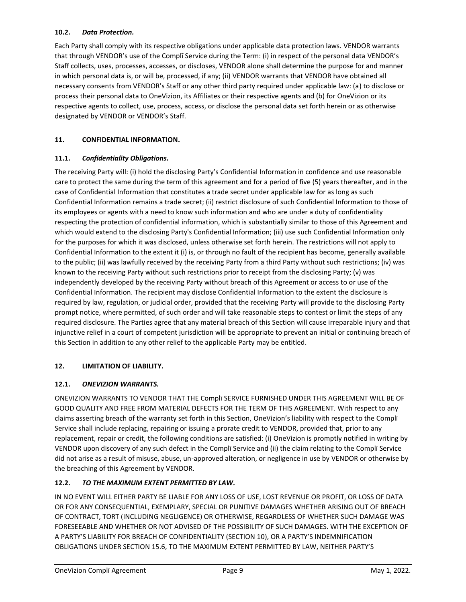### **10.2.** *Data Protection.*

Each Party shall comply with its respective obligations under applicable data protection laws. VENDOR warrants that through VENDOR's use of the Complī Service during the Term: (i) in respect of the personal data VENDOR's Staff collects, uses, processes, accesses, or discloses, VENDOR alone shall determine the purpose for and manner in which personal data is, or will be, processed, if any; (ii) VENDOR warrants that VENDOR have obtained all necessary consents from VENDOR's Staff or any other third party required under applicable law: (a) to disclose or process their personal data to OneVizion, its Affiliates or their respective agents and (b) for OneVizion or its respective agents to collect, use, process, access, or disclose the personal data set forth herein or as otherwise designated by VENDOR or VENDOR's Staff.

# **11. CONFIDENTIAL INFORMATION.**

# **11.1.** *Confidentiality Obligations.*

The receiving Party will: (i) hold the disclosing Party's Confidential Information in confidence and use reasonable care to protect the same during the term of this agreement and for a period of five (5) years thereafter, and in the case of Confidential Information that constitutes a trade secret under applicable law for as long as such Confidential Information remains a trade secret; (ii) restrict disclosure of such Confidential Information to those of its employees or agents with a need to know such information and who are under a duty of confidentiality respecting the protection of confidential information, which is substantially similar to those of this Agreement and which would extend to the disclosing Party's Confidential Information; (iii) use such Confidential Information only for the purposes for which it was disclosed, unless otherwise set forth herein. The restrictions will not apply to Confidential Information to the extent it (i) is, or through no fault of the recipient has become, generally available to the public; (ii) was lawfully received by the receiving Party from a third Party without such restrictions; (iv) was known to the receiving Party without such restrictions prior to receipt from the disclosing Party; (v) was independently developed by the receiving Party without breach of this Agreement or access to or use of the Confidential Information. The recipient may disclose Confidential Information to the extent the disclosure is required by law, regulation, or judicial order, provided that the receiving Party will provide to the disclosing Party prompt notice, where permitted, of such order and will take reasonable steps to contest or limit the steps of any required disclosure. The Parties agree that any material breach of this Section will cause irreparable injury and that injunctive relief in a court of competent jurisdiction will be appropriate to prevent an initial or continuing breach of this Section in addition to any other relief to the applicable Party may be entitled.

# **12. LIMITATION OF LIABILITY.**

# **12.1.** *ONEVIZION WARRANTS.*

ONEVIZION WARRANTS TO VENDOR THAT THE Complī SERVICE FURNISHED UNDER THIS AGREEMENT WILL BE OF GOOD QUALITY AND FREE FROM MATERIAL DEFECTS FOR THE TERM OF THIS AGREEMENT. With respect to any claims asserting breach of the warranty set forth in this Section, OneVizion's liability with respect to the Complī Service shall include replacing, repairing or issuing a prorate credit to VENDOR, provided that, prior to any replacement, repair or credit, the following conditions are satisfied: (i) OneVizion is promptly notified in writing by VENDOR upon discovery of any such defect in the Complī Service and (ii) the claim relating to the Complī Service did not arise as a result of misuse, abuse, un-approved alteration, or negligence in use by VENDOR or otherwise by the breaching of this Agreement by VENDOR.

# **12.2.** *TO THE MAXIMUM EXTENT PERMITTED BY LAW.*

IN NO EVENT WILL EITHER PARTY BE LIABLE FOR ANY LOSS OF USE, LOST REVENUE OR PROFIT, OR LOSS OF DATA OR FOR ANY CONSEQUENTIAL, EXEMPLARY, SPECIAL OR PUNITIVE DAMAGES WHETHER ARISING OUT OF BREACH OF CONTRACT, TORT (INCLUDING NEGLIGENCE) OR OTHERWISE, REGARDLESS OF WHETHER SUCH DAMAGE WAS FORESEEABLE AND WHETHER OR NOT ADVISED OF THE POSSIBILITY OF SUCH DAMAGES. WITH THE EXCEPTION OF A PARTY'S LIABILITY FOR BREACH OF CONFIDENTIALITY (SECTION 10), OR A PARTY'S INDEMNIFICATION OBLIGATIONS UNDER SECTION 15.6, TO THE MAXIMUM EXTENT PERMITTED BY LAW, NEITHER PARTY'S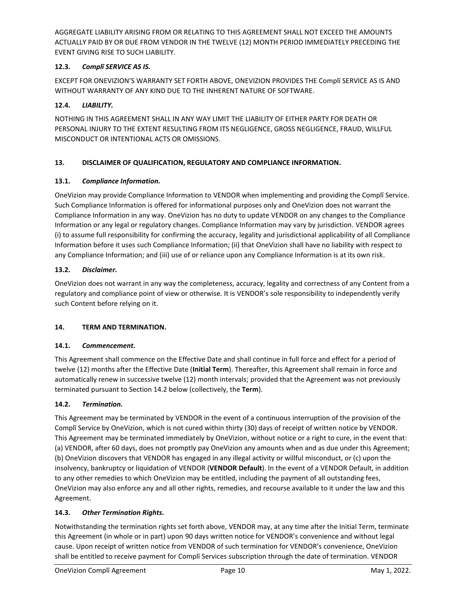AGGREGATE LIABILITY ARISING FROM OR RELATING TO THIS AGREEMENT SHALL NOT EXCEED THE AMOUNTS ACTUALLY PAID BY OR DUE FROM VENDOR IN THE TWELVE (12) MONTH PERIOD IMMEDIATELY PRECEDING THE EVENT GIVING RISE TO SUCH LIABILITY.

# **12.3.** *Complī SERVICE AS IS.*

EXCEPT FOR ONEVIZION'S WARRANTY SET FORTH ABOVE, ONEVIZION PROVIDES THE Complī SERVICE AS IS AND WITHOUT WARRANTY OF ANY KIND DUE TO THE INHERENT NATURE OF SOFTWARE.

# **12.4.** *LIABILITY.*

NOTHING IN THIS AGREEMENT SHALL IN ANY WAY LIMIT THE LIABILITY OF EITHER PARTY FOR DEATH OR PERSONAL INJURY TO THE EXTENT RESULTING FROM ITS NEGLIGENCE, GROSS NEGLIGENCE, FRAUD, WILLFUL MISCONDUCT OR INTENTIONAL ACTS OR OMISSIONS.

# **13. DISCLAIMER OF QUALIFICATION, REGULATORY AND COMPLIANCE INFORMATION.**

# **13.1.** *Compliance Information.*

OneVizion may provide Compliance Information to VENDOR when implementing and providing the Complī Service. Such Compliance Information is offered for informational purposes only and OneVizion does not warrant the Compliance Information in any way. OneVizion has no duty to update VENDOR on any changes to the Compliance Information or any legal or regulatory changes. Compliance Information may vary by jurisdiction. VENDOR agrees (i) to assume full responsibility for confirming the accuracy, legality and jurisdictional applicability of all Compliance Information before it uses such Compliance Information; (ii) that OneVizion shall have no liability with respect to any Compliance Information; and (iii) use of or reliance upon any Compliance Information is at its own risk.

# **13.2.** *Disclaimer.*

OneVizion does not warrant in any way the completeness, accuracy, legality and correctness of any Content from a regulatory and compliance point of view or otherwise. It is VENDOR's sole responsibility to independently verify such Content before relying on it.

# **14. TERM AND TERMINATION.**

# **14.1.** *Commencement.*

This Agreement shall commence on the Effective Date and shall continue in full force and effect for a period of twelve (12) months after the Effective Date (**Initial Term**). Thereafter, this Agreement shall remain in force and automatically renew in successive twelve (12) month intervals; provided that the Agreement was not previously terminated pursuant to Section 14.2 below (collectively, the **Term**).

# **14.2.** *Termination.*

This Agreement may be terminated by VENDOR in the event of a continuous interruption of the provision of the Complī Service by OneVizion, which is not cured within thirty (30) days of receipt of written notice by VENDOR. This Agreement may be terminated immediately by OneVizion, without notice or a right to cure, in the event that: (a) VENDOR, after 60 days, does not promptly pay OneVizion any amounts when and as due under this Agreement; (b) OneVizion discovers that VENDOR has engaged in any illegal activity or willful misconduct, or (c) upon the insolvency, bankruptcy or liquidation of VENDOR (**VENDOR Default**). In the event of a VENDOR Default, in addition to any other remedies to which OneVizion may be entitled, including the payment of all outstanding fees, OneVizion may also enforce any and all other rights, remedies, and recourse available to it under the law and this Agreement.

# **14.3.** *Other Termination Rights.*

Notwithstanding the termination rights set forth above, VENDOR may, at any time after the Initial Term, terminate this Agreement (in whole or in part) upon 90 days written notice for VENDOR's convenience and without legal cause. Upon receipt of written notice from VENDOR of such termination for VENDOR's convenience, OneVizion shall be entitled to receive payment for Complī Services subscription through the date of termination. VENDOR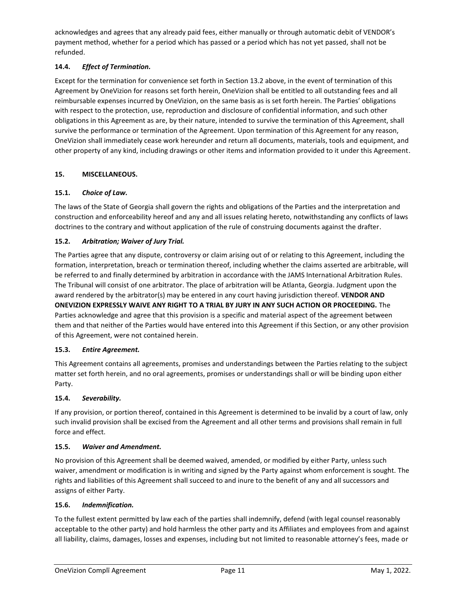acknowledges and agrees that any already paid fees, either manually or through automatic debit of VENDOR's payment method, whether for a period which has passed or a period which has not yet passed, shall not be refunded.

# **14.4.** *Effect of Termination.*

Except for the termination for convenience set forth in Section 13.2 above, in the event of termination of this Agreement by OneVizion for reasons set forth herein, OneVizion shall be entitled to all outstanding fees and all reimbursable expenses incurred by OneVizion, on the same basis as is set forth herein. The Parties' obligations with respect to the protection, use, reproduction and disclosure of confidential information, and such other obligations in this Agreement as are, by their nature, intended to survive the termination of this Agreement, shall survive the performance or termination of the Agreement. Upon termination of this Agreement for any reason, OneVizion shall immediately cease work hereunder and return all documents, materials, tools and equipment, and other property of any kind, including drawings or other items and information provided to it under this Agreement.

# **15. MISCELLANEOUS.**

# **15.1.** *Choice of Law.*

The laws of the State of Georgia shall govern the rights and obligations of the Parties and the interpretation and construction and enforceability hereof and any and all issues relating hereto, notwithstanding any conflicts of laws doctrines to the contrary and without application of the rule of construing documents against the drafter.

# **15.2.** *Arbitration; Waiver of Jury Trial.*

The Parties agree that any dispute, controversy or claim arising out of or relating to this Agreement, including the formation, interpretation, breach or termination thereof, including whether the claims asserted are arbitrable, will be referred to and finally determined by arbitration in accordance with the JAMS International Arbitration Rules. The Tribunal will consist of one arbitrator. The place of arbitration will be Atlanta, Georgia. Judgment upon the award rendered by the arbitrator(s) may be entered in any court having jurisdiction thereof. **VENDOR AND ONEVIZION EXPRESSLY WAIVE ANY RIGHT TO A TRIAL BY JURY IN ANY SUCH ACTION OR PROCEEDING.** The Parties acknowledge and agree that this provision is a specific and material aspect of the agreement between them and that neither of the Parties would have entered into this Agreement if this Section, or any other provision of this Agreement, were not contained herein.

# **15.3.** *Entire Agreement.*

This Agreement contains all agreements, promises and understandings between the Parties relating to the subject matter set forth herein, and no oral agreements, promises or understandings shall or will be binding upon either Party.

# **15.4.** *Severability.*

If any provision, or portion thereof, contained in this Agreement is determined to be invalid by a court of law, only such invalid provision shall be excised from the Agreement and all other terms and provisions shall remain in full force and effect.

# **15.5.** *Waiver and Amendment.*

No provision of this Agreement shall be deemed waived, amended, or modified by either Party, unless such waiver, amendment or modification is in writing and signed by the Party against whom enforcement is sought. The rights and liabilities of this Agreement shall succeed to and inure to the benefit of any and all successors and assigns of either Party.

# **15.6.** *Indemnification.*

To the fullest extent permitted by law each of the parties shall indemnify, defend (with legal counsel reasonably acceptable to the other party) and hold harmless the other party and its Affiliates and employees from and against all liability, claims, damages, losses and expenses, including but not limited to reasonable attorney's fees, made or